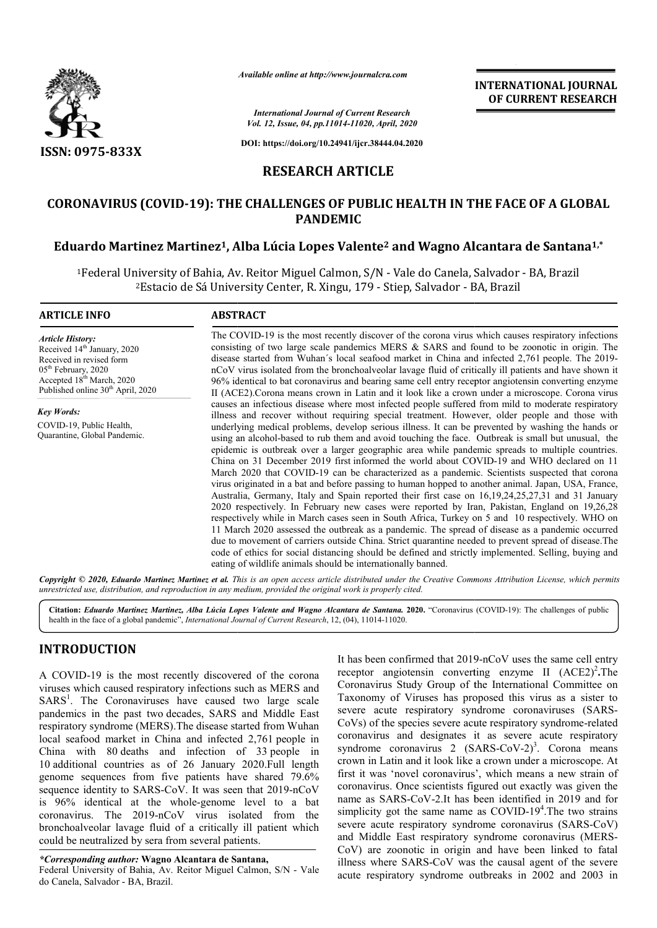

*Available online at http://www.journalcra.com*

*International Journal of Current Research Vol. 12, Issue, 04, pp.11014-11020, April, 2020* **INTERNATIONAL JOURNAL OF CURRENT RESEARCH**

**DOI: https://doi.org/10.24941/ijcr.38444.04.2020**

## **RESEARCH ARTICLE**

# **CORONAVIRUS (COVID-19): THE CHALLENGES OF PUBLIC HEALTH IN THE FACE OF A GLOBAL 19): PANDEMIC** ORONAVIRUS (COVID-19): THE CHALLENGES OF PUBLIC HEALTH IN THE FACE OF A GLOBA*``*<br>PANDEMIC<br><sup>F</sup>Eduardo Martinez Martinez<sup>1</sup>, Alba Lúcia Lopes Valente<sup>2</sup> and Wagno Alcantara de Santana<sup>1,\*</sup>

<sup>1</sup>Federal University of Bahia, Av. Reitor Miguel Calmon, S/N - Vale do Canela, Salvador - BA, Brazil <sup>2</sup>Estacio de Sá University Center, R. Xingu, 179 - Stiep, Salvador - BA, Brazil

### **ARTICLE INFO ABSTRACT**

*Article History:* Received 14<sup>th</sup> January, 2020 Received in revised form 05th February, 2020 Accepted 18<sup>th</sup> March, 2020 Published online 30<sup>th</sup> April, 2020

*Key Words:* COVID-19, Public Health, Quarantine, Global Pandemic.

The COVID COVID-19 is the most recently discover of the corona virus which causes respiratory infections The COVID-19 is the most recently discover of the corona virus which causes respiratory infections consisting of two large scale pandemics MERS  $\&$  SARS and found to be zoonotic in origin. The disease started from Wuhan's local seafood market in China and infected 2,761 people. The 2019nCoV virus isolated from the bronchoalveolar lavage fluid of critically ill patients and have shown it 96% identical to bat coronavirus and bearing same cell entry receptor angiotensin converting enzyme II (ACE2).Corona means crown in Latin and it look like a crown under a microscope. Corona virus causes an infectious disease where most infected people suffered from mild to moderate respiratory illness and recover without requiring special treatment. However, older people and those with underlying medical problems, develop serious illness. It can be prevented by washing the hands or using an alcohol-based to rub them and avoid touching the face. Outbreak is small but unusual, the epidemic is outbreak over a larger geographic area while pandemic spreads to multiple countries. epidemic is outbreak over a larger geographic area while pandemic spreads to multiple countries.<br>China on 31 December 2019 first informed the world about COVID-19 and WHO declared on 11 March 2020 that COVID-19 can be characterized as a pandemic. Scientists suspected that corona virus originated in a bat and before passing to human hopped to another animal. Japan, USA, France, March 2020 that COVID-19 can be characterized as a pandemic. Scientists suspected that corona virus originated in a bat and before passing to human hopped to another animal. Japan, USA, France, Australia, Germany, Italy an 2020 respectively. In February new cases were reported by Iran, Pakistan, England on 19,26,28 respectively while in March cases seen in South Africa, Turkey on 5 and 10 respectively. WHO on 11 March 2020 assessed the outbreak as a pandemic. The spread of disease as a pandemic occurred due to movement of carriers outside China. Strict quarantine needed to prevent spread of disease. The code of ethics for social distancing should be defined and strictly implemented. Selling, buying and eating of wildlife animals should be internationally banned. ess and recover without requiring special treatment. How<br>lerlying medical problems, develop serious illness. It can be<br>ng an alcohol-based to rub them and avoid touching the face. nCoV virus isolated from the bronchoalveolar lavage fluid of critically ill patients and have shown it 96% identical to bat coronavirus and bearing same cell entry receptor angiotensin converting enzyme II (ACE2).Corona me 2020 respectively. In February new cases were reported by Iran, Pakistan, England on 19,26,28 respectively while in March cases seen in South Africa, Turkey on 5 and 10 respectively. WHO on 11 March 2020 assessed the outbr **INTERNATIONAL JOURNAL OF CURRENT RESEARCH**<br>
OF CURRENT RESEARCH<br>
OF CURRENT RESEARCH<br>
(a) O Cancle and *CACC* and *CACCC* and *CACCC* and *CO* Cancela, Salvador - BA, Brazil<br>
comparision since a Salvador - BA, Brazil<br>

Copyright © 2020, Eduardo Martinez Martinez et al. This is an open access article distributed under the Creative Commons Attribution License, which permits *unrestricted use, distribution, and reproduction in any medium, provided the original work is properly cited.*

Citation: *Eduardo Martinez, Martinez, Alba Lúcia Lopes Valente and Wagno Alcantara de Santana. 2020. "Coronavirus (COVID-19): The challenges of public* health in the face of a global pandemic", *International Journal of Current Research*, 12, (04), 11014-11020.

### **INTRODUCTION**

A COVID-19 is the most recently discovered of the corona viruses which caused respiratory infections such as MERS and SARS<sup>1</sup>. The Coronaviruses have caused two large scale pandemics in the past two decades, SARS and Middle East respiratory syndrome (MERS).The disease started from Wuhan local seafood market in China and infected 2,761 people in China with 80 deaths and infection of 33 people in 10 additional countries as of 26 January 2020.Full length genome sequences from five patients have shared 79.6% sequence identity to SARS-CoV. It was seen that 2019-nCoV is 96% identical at the whole-genome level to a bat is 96% identical at the whole-genome level to a bat coronavirus. The 2019-nCoV virus isolated from the bronchoalveolar lavage fluid of a critically ill patient which could be neutralized by sera from several patients.

*\*Corresponding author:* **Wagno Alcantara de Santana Santana,** Federal University of Bahia, Av. Reitor Miguel Calmon, S/N - Vale do Canela, Salvador - BA, Brazil.

It has been confirmed that 2019-nCoV uses the same cell entry receptor angiotensin converting enzyme II (ACE2)<sup>2</sup>. The Coronavirus Study Group of the International Committee on Coronavirus Study Group of the International Committee on Taxonomy of Viruses has proposed this virus as a sister to severe acute respiratory syndrome coronaviruses (SARS-CoVs) of the species severe acute respiratory syndrome-related coronavirus and designates it as severe acute respiratory coronavirus and designates it as severe acute respiratory syndrome coronavirus  $2 \text{ (SARS-CoV-2)}^3$ . Corona means crown in Latin and it look like a crown under a microscope. At first it was 'novel coronavirus', which means a new strain of coronavirus. Once scientists figured out exactly was given the name as SARS-CoV-2.It has been identified in 2019 and for crown in Latin and it look like a crown under a microscope. At first it was 'novel coronavirus', which means a new strain of coronavirus. Once scientists figured out exactly was given the name as SARS-CoV-2.It has been ide severe acute respiratory syndrome coronavirus (SARS-CoV) and Middle East respiratory syndrome coronavirus (MERS-CoV) are zoonotic in origin and have been linked to fatal CoV) are zoonotic in origin and have been linked to fatal illness where SARS-CoV was the causal agent of the severe acute respiratory syndrome outbreaks in 2002 and 2003 in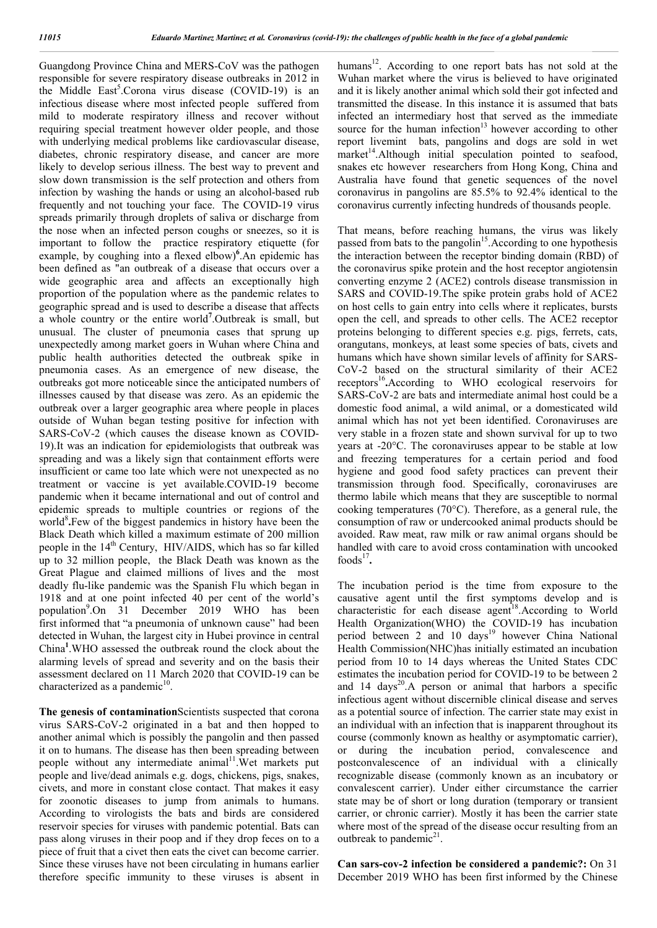Guangdong Province China and MERS-CoV was the pathogen responsible for severe respiratory disease outbreaks in 2012 in the Middle East<sup>5</sup>.Corona virus disease (COVID-19) is an infectious disease where most infected people suffered from mild to moderate respiratory illness and recover without requiring special treatment however older people, and those with underlying medical problems like cardiovascular disease, diabetes, chronic respiratory disease, and cancer are more likely to develop serious illness. The best way to prevent and slow down transmission is the self protection and others from infection by washing the hands or using an alcohol-based rub frequently and not touching your face. The COVID-19 virus spreads primarily through droplets of saliva or discharge from the nose when an infected person coughs or sneezes, so it is important to follow the practice respiratory etiquette (for example, by coughing into a flexed elbow)<sup>6</sup>. An epidemic has been defined as "an outbreak of a disease that occurs over a wide geographic area and affects an exceptionally high proportion of the population where as the pandemic relates to geographic spread and is used to describe a disease that affects a whole country or the entire world**<sup>7</sup>** .Outbreak is small, but unusual. The cluster of pneumonia cases that sprung up unexpectedly among market goers in Wuhan where China and public health authorities detected the outbreak spike in pneumonia cases. As an emergence of new disease, the outbreaks got more noticeable since the anticipated numbers of illnesses caused by that disease was zero. As an epidemic the outbreak over a larger geographic area where people in places outside of Wuhan began testing positive for infection with SARS-CoV-2 (which causes the disease known as COVID-19).It was an indication for epidemiologists that outbreak was spreading and was a likely sign that containment efforts were insufficient or came too late which were not unexpected as no treatment or vaccine is yet available.COVID-19 become pandemic when it became international and out of control and epidemic spreads to multiple countries or regions of the world<sup>8</sup>.Few of the biggest pandemics in history have been the Black Death which killed a maximum estimate of 200 million people in the  $14<sup>th</sup>$  Century, HIV/AIDS, which has so far killed up to 32 million people, the Black Death was known as the Great Plague and claimed millions of lives and the most deadly flu-like pandemic was the Spanish Flu which began in 1918 and at one point infected 40 per cent of the world's population<sup>9</sup>.On 31 December 2019 WHO has been first informed that "a pneumonia of unknown cause" had been detected in Wuhan, the largest city in Hubei province in central China**<sup>1</sup>** .WHO assessed the outbreak round the clock about the alarming levels of spread and severity and on the basis their assessment declared on 11 March 2020 that COVID-19 can be characterized as a pandemic $10$ .

**The genesis of contamination**Scientists suspected that corona virus SARS-CoV-2 originated in a bat and then hopped to another animal which is possibly the pangolin and then passed it on to humans. The disease has then been spreading between people without any intermediate animal<sup>11</sup>. Wet markets put people and live/dead animals e.g. dogs, chickens, pigs, snakes, civets, and more in constant close contact. That makes it easy for zoonotic diseases to jump from animals to humans. According to virologists the bats and birds are considered reservoir species for viruses with pandemic potential. Bats can pass along viruses in their poop and if they drop feces on to a piece of fruit that a civet then eats the civet can become carrier. Since these viruses have not been circulating in humans earlier therefore specific immunity to these viruses is absent in

humans<sup>12</sup>. According to one report bats has not sold at the Wuhan market where the virus is believed to have originated and it is likely another animal which sold their got infected and transmitted the disease. In this instance it is assumed that bats infected an intermediary host that served as the immediate source for the human infection $13$  however according to other report livemint bats, pangolins and dogs are sold in wet market<sup>14</sup>.Although initial speculation pointed to seafood, snakes etc however researchers from Hong Kong, China and Australia have found that genetic sequences of the novel coronavirus in pangolins are 85.5% to 92.4% identical to the coronavirus currently infecting hundreds of thousands people.

That means, before reaching humans, the virus was likely passed from bats to the pangolin<sup>15</sup>. According to one hypothesis the interaction between the receptor binding domain (RBD) of the coronavirus spike protein and the host receptor angiotensin converting enzyme 2 (ACE2) controls disease transmission in SARS and COVID-19.The spike protein grabs hold of ACE2 on host cells to gain entry into cells where it replicates, bursts open the cell, and spreads to other cells. The ACE2 receptor proteins belonging to different species e.g. pigs, ferrets, cats, orangutans, monkeys, at least some species of bats, civets and humans which have shown similar levels of affinity for SARS-CoV-2 based on the structural similarity of their ACE2 receptors<sup>16</sup>.According to WHO ecological reservoirs for SARS-CoV-2 are bats and intermediate animal host could be a domestic food animal, a wild animal, or a domesticated wild animal which has not yet been identified. Coronaviruses are very stable in a frozen state and shown survival for up to two years at -20°C. The coronaviruses appear to be stable at low and freezing temperatures for a certain period and food hygiene and good food safety practices can prevent their transmission through food. Specifically, coronaviruses are thermo labile which means that they are susceptible to normal cooking temperatures (70°C). Therefore, as a general rule, the consumption of raw or undercooked animal products should be avoided. Raw meat, raw milk or raw animal organs should be handled with care to avoid cross contamination with uncooked foods $17$ .

The incubation period is the time from exposure to the causative agent until the first symptoms develop and is characteristic for each disease agent<sup>18</sup>. According to World Health Organization(WHO) the COVID-19 has incubation period between 2 and 10 days<sup>19</sup> however China National Health Commission(NHC)has initially estimated an incubation period from 10 to 14 days whereas the United States CDC estimates the incubation period for COVID-19 to be between 2 and 14 days<sup>20</sup>. A person or animal that harbors a specific infectious agent without discernible clinical disease and serves as a potential source of infection. The carrier state may exist in an individual with an infection that is inapparent throughout its course (commonly known as healthy or asymptomatic carrier), or during the incubation period, convalescence and postconvalescence of an individual with a clinically recognizable disease (commonly known as an incubatory or convalescent carrier). Under either circumstance the carrier state may be of short or long duration (temporary or transient carrier, or chronic carrier). Mostly it has been the carrier state where most of the spread of the disease occur resulting from an outbreak to pandemic $2<sup>1</sup>$ .

**Can sars-cov-2 infection be considered a pandemic?:** On 31 December 2019 WHO has been first informed by the Chinese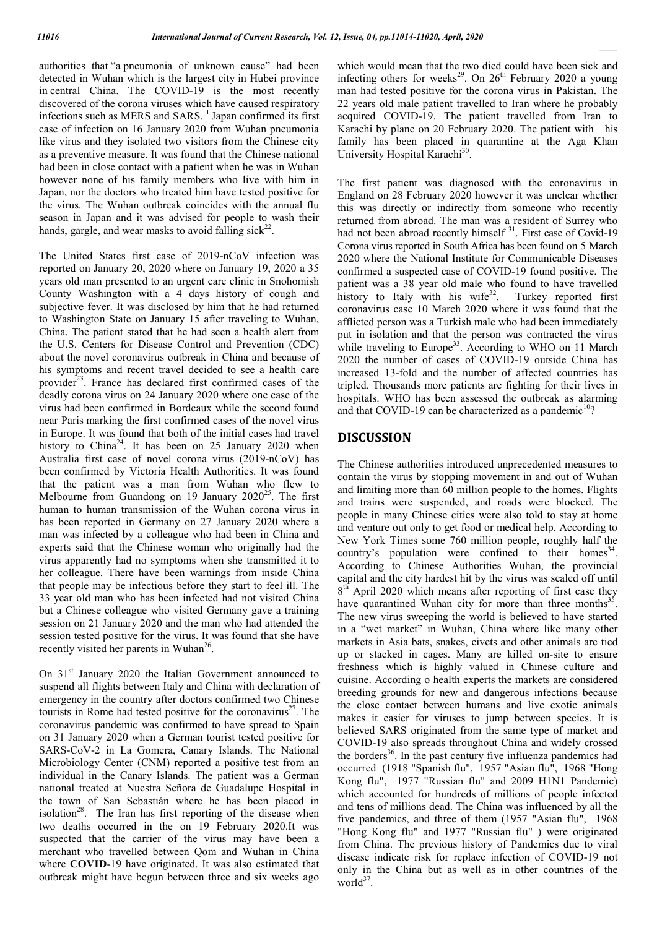authorities that "a pneumonia of unknown cause" had been detected in Wuhan which is the largest city in Hubei province in central China. The COVID-19 is the most recently discovered of the corona viruses which have caused respiratory infections such as MERS and SARS.  $<sup>1</sup>$  Japan confirmed its first</sup> case of infection on 16 January 2020 from Wuhan pneumonia like virus and they isolated two visitors from the Chinese city as a preventive measure. It was found that the Chinese national had been in close contact with a patient when he was in Wuhan however none of his family members who live with him in Japan, nor the doctors who treated him have tested positive for the virus. The Wuhan outbreak coincides with the annual flu season in Japan and it was advised for people to wash their hands, gargle, and wear masks to avoid falling sick<sup>22</sup>.

The United States first case of 2019-nCoV infection was reported on January 20, 2020 where on January 19, 2020 a 35 years old man presented to an urgent care clinic in Snohomish County Washington with a 4 days history of cough and subjective fever. It was disclosed by him that he had returned to Washington State on January 15 after traveling to Wuhan, China. The patient stated that he had seen a health alert from the U.S. Centers for Disease Control and Prevention (CDC) about the novel coronavirus outbreak in China and because of his symptoms and recent travel decided to see a health care provider<sup>23</sup>. France has declared first confirmed cases of the deadly corona virus on 24 January 2020 where one case of the virus had been confirmed in Bordeaux while the second found near Paris marking the first confirmed cases of the novel virus in Europe. It was found that both of the initial cases had travel history to China<sup>24</sup>. It has been on 25 January 2020 when Australia first case of novel corona virus (2019-nCoV) has been confirmed by Victoria Health Authorities. It was found that the patient was a man from Wuhan who flew to Melbourne from Guandong on 19 January  $2020^{25}$ . The first human to human transmission of the Wuhan corona virus in has been reported in Germany on 27 January 2020 where a man was infected by a colleague who had been in China and experts said that the Chinese woman who originally had the virus apparently had no symptoms when she transmitted it to her colleague. There have been warnings from inside China that people may be infectious before they start to feel ill. The 33 year old man who has been infected had not visited China but a Chinese colleague who visited Germany gave a training session on 21 January 2020 and the man who had attended the session tested positive for the virus. It was found that she have recently visited her parents in Wuhan<sup>26</sup>.

On  $31<sup>st</sup>$  January 2020 the Italian Government announced to suspend all flights between Italy and China with declaration of emergency in the country after doctors confirmed two Chinese tourists in Rome had tested positive for the coronavirus $27$ . The coronavirus pandemic was confirmed to have spread to Spain on 31 January 2020 when a German tourist tested positive for SARS-CoV-2 in La Gomera, Canary Islands. The National Microbiology Center (CNM) reported a positive test from an individual in the Canary Islands. The patient was a German national treated at Nuestra Señora de Guadalupe Hospital in the town of San Sebastián where he has been placed in isolation<sup>28</sup>. The Iran has first reporting of the disease when two deaths occurred in the on 19 February 2020.It was suspected that the carrier of the virus may have been a merchant who travelled between Qom and Wuhan in China where **COVID**-19 have originated. It was also estimated that outbreak might have begun between three and six weeks ago

which would mean that the two died could have been sick and infecting others for weeks<sup>29</sup>. On  $26<sup>th</sup>$  February 2020 a young man had tested positive for the corona virus in Pakistan. The 22 years old male patient travelled to Iran where he probably acquired COVID-19. The patient travelled from Iran to Karachi by plane on 20 February 2020. The patient with his family has been placed in quarantine at the Aga Khan University Hospital Karachi<sup>30</sup>.

The first patient was diagnosed with the coronavirus in England on 28 February 2020 however it was unclear whether this was directly or indirectly from someone who recently returned from abroad. The man was a resident of Surrey who had not been abroad recently himself<sup>31</sup>. First case of Covid-19 Corona virus reported in South Africa has been found on 5 March 2020 where the National Institute for Communicable Diseases confirmed a suspected case of COVID-19 found positive. The patient was a 38 year old male who found to have travelled history to Italy with his wife $32$ . Turkey reported first coronavirus case 10 March 2020 where it was found that the afflicted person was a Turkish male who had been immediately put in isolation and that the person was contracted the virus while traveling to Europe<sup>33</sup>. According to WHO on 11 March 2020 the number of cases of COVID-19 outside China has increased 13-fold and the number of affected countries has tripled. Thousands more patients are fighting for their lives in hospitals. WHO has been assessed the outbreak as alarming and that COVID-19 can be characterized as a pandemic $10$ ?

### **DISCUSSION**

The Chinese authorities introduced unprecedented measures to contain the virus by stopping movement in and out of Wuhan and limiting more than 60 million people to the homes. Flights and trains were suspended, and roads were blocked. The people in many Chinese cities were also told to stay at home and venture out only to get food or medical help. According to New York Times some 760 million people, roughly half the country's population were confined to their homes<sup>34</sup>. According to Chinese Authorities Wuhan, the provincial capital and the city hardest hit by the virus was sealed off until  $8<sup>th</sup>$  April 2020 which means after reporting of first case they have quarantined Wuhan city for more than three months $35$ The new virus sweeping the world is believed to have started in a "wet market" in Wuhan, China where like many other markets in Asia bats, snakes, civets and other animals are tied up or stacked in cages. Many are killed on-site to ensure freshness which is highly valued in Chinese culture and cuisine. According o health experts the markets are considered breeding grounds for new and dangerous infections because the close contact between humans and live exotic animals makes it easier for viruses to jump between species. It is believed SARS originated from the same type of market and COVID-19 also spreads throughout China and widely crossed the borders<sup>36</sup>. In the past century five influenza pandemics had occurred (1918 "Spanish flu", 1957 "Asian flu", 1968 "Hong Kong flu", 1977 "Russian flu" and 2009 H1N1 Pandemic) which accounted for hundreds of millions of people infected and tens of millions dead. The China was influenced by all the five pandemics, and three of them (1957 "Asian flu", 1968 "Hong Kong flu" and 1977 "Russian flu" ) were originated from China. The previous history of Pandemics due to viral disease indicate risk for replace infection of COVID-19 not only in the China but as well as in other countries of the worl $d^{37}$ .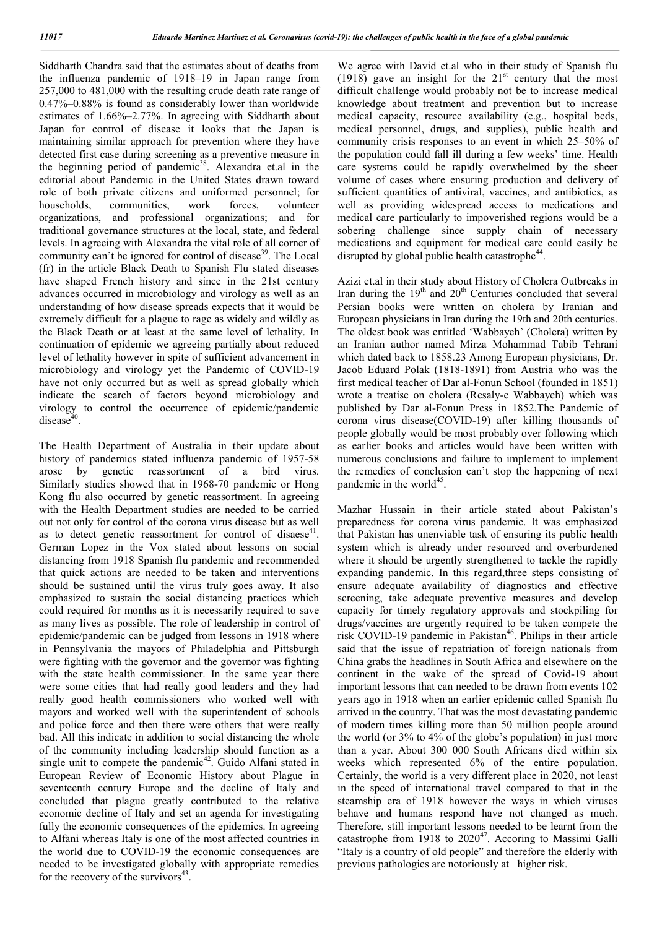Siddharth Chandra said that the estimates about of deaths from the influenza pandemic of 1918–19 in Japan range from 257,000 to 481,000 with the resulting crude death rate range of 0.47%–0.88% is found as considerably lower than worldwide estimates of 1.66%–2.77%. In agreeing with Siddharth about Japan for control of disease it looks that the Japan is maintaining similar approach for prevention where they have detected first case during screening as a preventive measure in the beginning period of pandemic<sup>38</sup>. Alexandra et.al in the editorial about Pandemic in the United States drawn toward role of both private citizens and uniformed personnel; for households, communities, work forces, volunteer organizations, and professional organizations; and for traditional governance structures at the local, state, and federal levels. In agreeing with Alexandra the vital role of all corner of community can't be ignored for control of disease<sup>39</sup>. The Local (fr) in the article Black Death to Spanish Flu stated diseases have shaped French history and since in the 21st century advances occurred in microbiology and virology as well as an understanding of how disease spreads expects that it would be extremely difficult for a plague to rage as widely and wildly as the Black Death or at least at the same level of lethality. In continuation of epidemic we agreeing partially about reduced level of lethality however in spite of sufficient advancement in microbiology and virology yet the Pandemic of COVID-19 have not only occurred but as well as spread globally which indicate the search of factors beyond microbiology and virology to control the occurrence of epidemic/pandemic disease $40$ .

The Health Department of Australia in their update about history of pandemics stated influenza pandemic of 1957-58 arose by genetic reassortment of a bird virus. Similarly studies showed that in 1968-70 pandemic or Hong Kong flu also occurred by genetic reassortment. In agreeing with the Health Department studies are needed to be carried out not only for control of the corona virus disease but as well as to detect genetic reassortment for control of disaese<sup>41</sup>. German Lopez in the Vox stated about lessons on social distancing from 1918 Spanish flu pandemic and recommended that quick actions are needed to be taken and interventions should be sustained until the virus truly goes away. It also emphasized to sustain the social distancing practices which could required for months as it is necessarily required to save as many lives as possible. The role of leadership in control of epidemic/pandemic can be judged from lessons in 1918 where in Pennsylvania the mayors of Philadelphia and Pittsburgh were fighting with the governor and the governor was fighting with the state health commissioner. In the same year there were some cities that had really good leaders and they had really good health commissioners who worked well with mayors and worked well with the superintendent of schools and police force and then there were others that were really bad. All this indicate in addition to social distancing the whole of the community including leadership should function as a single unit to compete the pandemic<sup>42</sup>. Guido Alfani stated in European Review of Economic History about Plague in seventeenth century Europe and the decline of Italy and concluded that plague greatly contributed to the relative economic decline of Italy and set an agenda for investigating fully the economic consequences of the epidemics. In agreeing to Alfani whereas Italy is one of the most affected countries in the world due to COVID-19 the economic consequences are needed to be investigated globally with appropriate remedies for the recovery of the survivors $43$ .

We agree with David et.al who in their study of Spanish flu  $(1918)$  gave an insight for the  $21<sup>st</sup>$  century that the most difficult challenge would probably not be to increase medical knowledge about treatment and prevention but to increase medical capacity, resource availability (e.g., hospital beds, medical personnel, drugs, and supplies), public health and community crisis responses to an event in which 25–50% of the population could fall ill during a few weeks' time. Health care systems could be rapidly overwhelmed by the sheer volume of cases where ensuring production and delivery of sufficient quantities of antiviral, vaccines, and antibiotics, as well as providing widespread access to medications and medical care particularly to impoverished regions would be a sobering challenge since supply chain of necessary medications and equipment for medical care could easily be disrupted by global public health catastrophe<sup>44</sup>.

Azizi et.al in their study about History of Cholera Outbreaks in Iran during the  $19<sup>th</sup>$  and  $20<sup>th</sup>$  Centuries concluded that several Persian books were written on cholera by Iranian and European physicians in Iran during the 19th and 20th centuries. The oldest book was entitled 'Wabbayeh' (Cholera) written by an Iranian author named Mirza Mohammad Tabib Tehrani which dated back to 1858.23 Among European physicians, Dr. Jacob Eduard Polak (1818-1891) from Austria who was the first medical teacher of Dar al-Fonun School (founded in 1851) wrote a treatise on cholera (Resaly-e Wabbayeh) which was published by Dar al-Fonun Press in 1852.The Pandemic of corona virus disease(COVID-19) after killing thousands of people globally would be most probably over following which as earlier books and articles would have been written with numerous conclusions and failure to implement to implement the remedies of conclusion can't stop the happening of next pandemic in the world $45$ .

Mazhar Hussain in their article stated about Pakistan's preparedness for corona virus pandemic. It was emphasized that Pakistan has unenviable task of ensuring its public health system which is already under resourced and overburdened where it should be urgently strengthened to tackle the rapidly expanding pandemic. In this regard,three steps consisting of ensure adequate availability of diagnostics and effective screening, take adequate preventive measures and develop capacity for timely regulatory approvals and stockpiling for drugs/vaccines are urgently required to be taken compete the risk COVID-19 pandemic in Pakistan<sup>46</sup>. Philips in their article said that the issue of repatriation of foreign nationals from China grabs the headlines in South Africa and elsewhere on the continent in the wake of the spread of Covid-19 about important lessons that can needed to be drawn from events 102 years ago in 1918 when an earlier epidemic called Spanish flu arrived in the country. That was the most devastating pandemic of modern times killing more than 50 million people around the world (or 3% to 4% of the globe's population) in just more than a year. About 300 000 South Africans died within six weeks which represented 6% of the entire population. Certainly, the world is a very different place in 2020, not least in the speed of international travel compared to that in the steamship era of 1918 however the ways in which viruses behave and humans respond have not changed as much. Therefore, still important lessons needed to be learnt from the catastrophe from 1918 to  $2020^{47}$ . Accoring to Massimi Galli "Italy is a country of old people" and therefore the elderly with previous pathologies are notoriously at higher risk.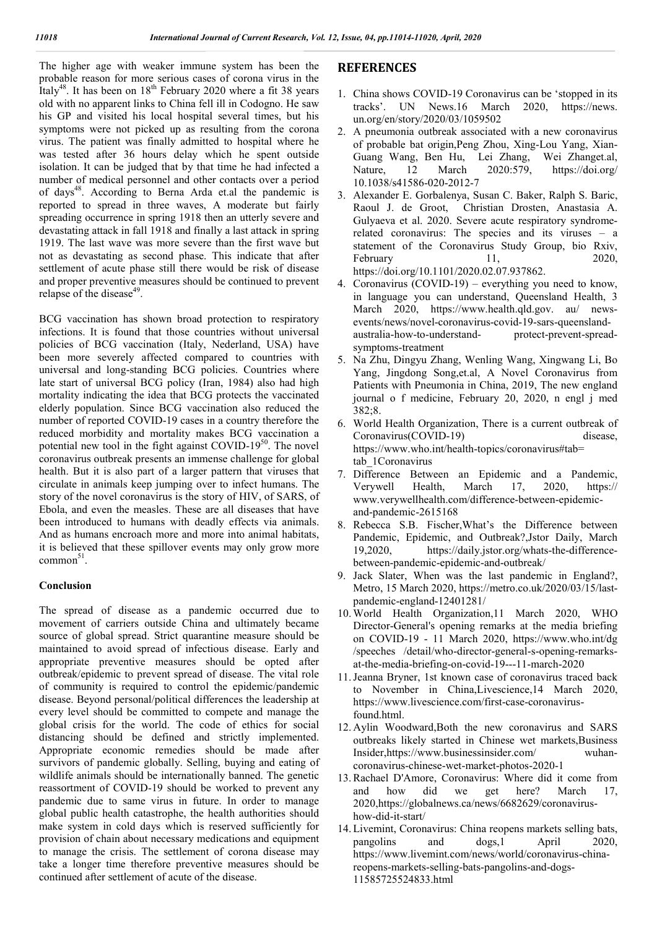The higher age with weaker immune system has been the probable reason for more serious cases of corona virus in the Italy<sup>48</sup>. It has been on  $18<sup>th</sup>$  February 2020 where a fit 38 years old with no apparent links to China fell ill in Codogno. He saw his GP and visited his local hospital several times, but his symptoms were not picked up as resulting from the corona virus. The patient was finally admitted to hospital where he was tested after 36 hours delay which he spent outside isolation. It can be judged that by that time he had infected a number of medical personnel and other contacts over a period of days<sup>48</sup>. According to Berna Arda et.al the pandemic is reported to spread in three waves, A moderate but fairly spreading occurrence in spring 1918 then an utterly severe and devastating attack in fall 1918 and finally a last attack in spring 1919. The last wave was more severe than the first wave but not as devastating as second phase. This indicate that after settlement of acute phase still there would be risk of disease and proper preventive measures should be continued to prevent relapse of the disease<sup>49</sup>.

BCG vaccination has shown broad protection to respiratory infections. It is found that those countries without universal policies of BCG vaccination (Italy, Nederland, USA) have been more severely affected compared to countries with universal and long-standing BCG policies. Countries where late start of universal BCG policy (Iran, 1984) also had high mortality indicating the idea that BCG protects the vaccinated elderly population. Since BCG vaccination also reduced the number of reported COVID-19 cases in a country therefore the reduced morbidity and mortality makes BCG vaccination a potential new tool in the fight against COVID-19 $50$ . The novel coronavirus outbreak presents an immense challenge for global health. But it is also part of a larger pattern that viruses that circulate in animals keep jumping over to infect humans. The story of the novel coronavirus is the story of HIV, of SARS, of Ebola, and even the measles. These are all diseases that have been introduced to humans with deadly effects via animals. And as humans encroach more and more into animal habitats, it is believed that these spillover events may only grow more  $common<sup>51</sup>$ .

### **Conclusion**

The spread of disease as a pandemic occurred due to movement of carriers outside China and ultimately became source of global spread. Strict quarantine measure should be maintained to avoid spread of infectious disease. Early and appropriate preventive measures should be opted after outbreak/epidemic to prevent spread of disease. The vital role of community is required to control the epidemic/pandemic disease. Beyond personal/political differences the leadership at every level should be committed to compete and manage the global crisis for the world. The code of ethics for social distancing should be defined and strictly implemented. Appropriate economic remedies should be made after survivors of pandemic globally. Selling, buying and eating of wildlife animals should be internationally banned. The genetic reassortment of COVID-19 should be worked to prevent any pandemic due to same virus in future. In order to manage global public health catastrophe, the health authorities should make system in cold days which is reserved sufficiently for provision of chain about necessary medications and equipment to manage the crisis. The settlement of corona disease may take a longer time therefore preventive measures should be continued after settlement of acute of the disease.

### **REFERENCES**

- 1. China shows COVID-19 Coronavirus can be 'stopped in its tracks'. UN News.16 March 2020, https://news. un.org/en/story/2020/03/1059502
- 2. A pneumonia outbreak associated with a new coronavirus of probable bat origin,Peng Zhou, Xing-Lou Yang, Xian-Guang Wang, Ben Hu, Lei Zhang, Wei Zhanget.al, Nature, 12 March 2020:579, https://doi.org/ 10.1038/s41586-020-2012-7
- 3. Alexander E. Gorbalenya, Susan C. Baker, Ralph S. Baric, Raoul J. de Groot, Christian Drosten, Anastasia A. Gulyaeva et al. 2020. Severe acute respiratory syndromerelated coronavirus: The species and its viruses – a statement of the Coronavirus Study Group, bio Rxiv, February 11, 2020, https://doi.org/10.1101/2020.02.07.937862.
- 4. Coronavirus (COVID-19) everything you need to know, in language you can understand, Queensland Health, 3 March 2020, https://www.health.qld.gov. au/ newsevents/news/novel-coronavirus-covid-19-sars-queenslandaustralia-how-to-understandsymptoms-treatment
- 5. Na Zhu, Dingyu Zhang, Wenling Wang, Xingwang Li, Bo Yang, Jingdong Song,et.al, A Novel Coronavirus from Patients with Pneumonia in China, 2019, The new england journal o f medicine, February 20, 2020, n engl j med 382;8.
- 6. World Health Organization, There is a current outbreak of Coronavirus(COVID-19) disease, https://www.who.int/health-topics/coronavirus#tab= tab\_1Coronavirus
- 7. Difference Between an Epidemic and a Pandemic, Verywell Health, March 17, 2020, https:// www.verywellhealth.com/difference-between-epidemicand-pandemic-2615168
- 8. Rebecca S.B. Fischer,What's the Difference between Pandemic, Epidemic, and Outbreak?,Jstor Daily, March 19,2020, https://daily.jstor.org/whats-the-differencebetween-pandemic-epidemic-and-outbreak/
- 9. Jack Slater, When was the last pandemic in England?, Metro, 15 March 2020, https://metro.co.uk/2020/03/15/lastpandemic-england-12401281/
- 10. World Health Organization,11 March 2020, WHO Director-General's opening remarks at the media briefing on COVID-19 - 11 March 2020, https://www.who.int/dg /speeches /detail/who-director-general-s-opening-remarksat-the-media-briefing-on-covid-19---11-march-2020
- 11.Jeanna Bryner, 1st known case of coronavirus traced back to November in China,Livescience,14 March 2020, https://www.livescience.com/first-case-coronavirusfound.html.
- 12. Aylin Woodward,Both the new coronavirus and SARS outbreaks likely started in Chinese wet markets,Business Insider,https://www.businessinsider.com/ wuhancoronavirus-chinese-wet-market-photos-2020-1
- 13.Rachael D'Amore, Coronavirus: Where did it come from and how did we get here? March 17, 2020,https://globalnews.ca/news/6682629/coronavirushow-did-it-start/
- 14. Livemint, Coronavirus: China reopens markets selling bats, pangolins and dogs,1 April 2020, https://www.livemint.com/news/world/coronavirus-chinareopens-markets-selling-bats-pangolins-and-dogs-11585725524833.html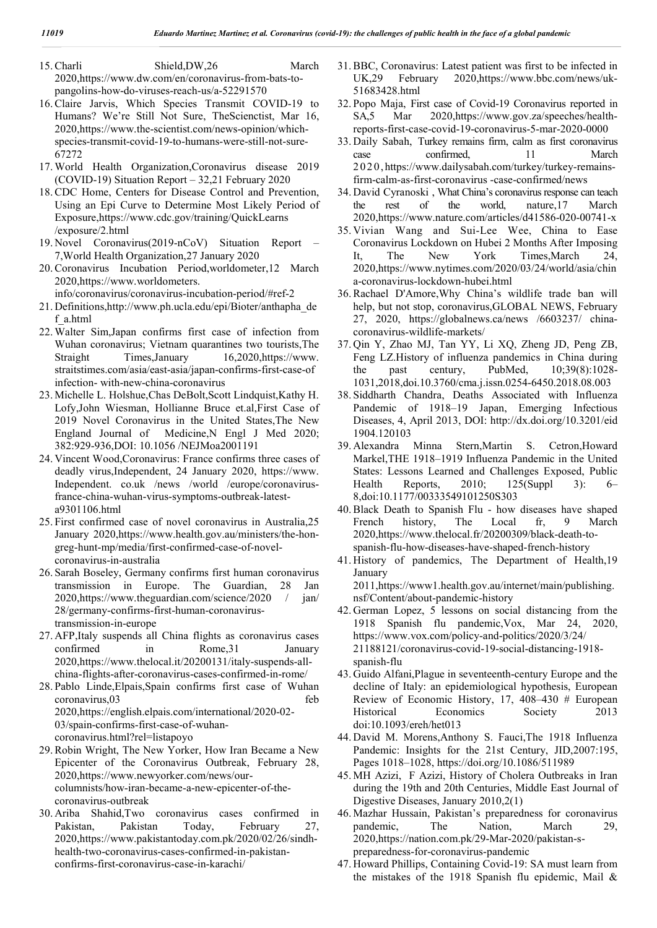15.Charli Shield,DW,26 March 2020,https://www.dw.com/en/coronavirus-from-bats-topangolins-how-do-viruses-reach-us/a-52291570

- 16.Claire Jarvis, Which Species Transmit COVID-19 to Humans? We're Still Not Sure, TheScienctist, Mar 16, 2020,https://www.the-scientist.com/news-opinion/whichspecies-transmit-covid-19-to-humans-were-still-not-sure-67272
- 17. World Health Organization,Coronavirus disease 2019 (COVID-19) Situation Report – 32,21 February 2020
- 18.CDC Home, Centers for Disease Control and Prevention, Using an Epi Curve to Determine Most Likely Period of Exposure,https://www.cdc.gov/training/QuickLearns /exposure/2.html
- 19. Novel Coronavirus(2019-nCoV) Situation Report 7,World Health Organization,27 January 2020
- 20.Coronavirus Incubation Period,worldometer,12 March 2020,https://www.worldometers.

info/coronavirus/coronavirus-incubation-period/#ref-2

- 21. Definitions,http://www.ph.ucla.edu/epi/Bioter/anthapha\_de f\_a.html
- 22. Walter Sim,Japan confirms first case of infection from Wuhan coronavirus; Vietnam quarantines two tourists,The Straight Times,January 16,2020,https://www. straitstimes.com/asia/east-asia/japan-confirms-first-case-of infection- with-new-china-coronavirus
- 23. Michelle L. Holshue,Chas DeBolt,Scott Lindquist,Kathy H. Lofy,John Wiesman, Hollianne Bruce et.al,First Case of 2019 Novel Coronavirus in the United States,The New England Journal of Medicine,N Engl J Med 2020; 382:929-936,DOI: 10.1056 /NEJMoa2001191
- 24. Vincent Wood,Coronavirus: France confirms three cases of deadly virus,Independent, 24 January 2020, https://www. Independent. co.uk /news /world /europe/coronavirusfrance-china-wuhan-virus-symptoms-outbreak-latesta9301106.html
- 25. First confirmed case of novel coronavirus in Australia,25 January 2020,https://www.health.gov.au/ministers/the-hongreg-hunt-mp/media/first-confirmed-case-of-novelcoronavirus-in-australia
- 26. Sarah Boseley, Germany confirms first human coronavirus transmission in Europe. The Guardian, 28 Jan 2020,https://www.theguardian.com/science/2020 / jan/ 28/germany-confirms-first-human-coronavirustransmission-in-europe
- 27. AFP,Italy suspends all China flights as coronavirus cases confirmed in Rome,31 January 2020,https://www.thelocal.it/20200131/italy-suspends-allchina-flights-after-coronavirus-cases-confirmed-in-rome/
- 28. Pablo Linde,Elpais,Spain confirms first case of Wuhan coronavirus,03 feb 2020,https://english.elpais.com/international/2020-02- 03/spain-confirms-first-case-of-wuhancoronavirus.html?rel=listapoyo
- 29.Robin Wright, The New Yorker, How Iran Became a New Epicenter of the Coronavirus Outbreak, February 28, 2020,https://www.newyorker.com/news/ourcolumnists/how-iran-became-a-new-epicenter-of-thecoronavirus-outbreak
- 30. Ariba Shahid,Two coronavirus cases confirmed in Pakistan, Pakistan Today, February 27, 2020,https://www.pakistantoday.com.pk/2020/02/26/sindhhealth-two-coronavirus-cases-confirmed-in-pakistanconfirms-first-coronavirus-case-in-karachi/
- 31.BBC, Coronavirus: Latest patient was first to be infected in UK,29 February 2020,https://www.bbc.com/news/uk-51683428.html
- 32. Popo Maja, First case of Covid-19 Coronavirus reported in SA,5 Mar 2020,https://www.gov.za/speeches/healthreports-first-case-covid-19-coronavirus-5-mar-2020-0000
- 33. Daily Sabah, Turkey remains firm, calm as first coronavirus case confirmed, 11 March 2 0 2 0 ,https://www.dailysabah.com/turkey/turkey-remainsfirm-calm-as-first-coronavirus -case-confirmed/news
- 34. David Cyranoski , What China's coronavirus response can teach the rest of the world, nature,17 March 2020,https://www.nature.com/articles/d41586-020-00741-x
- 35. Vivian Wang and Sui-Lee Wee, China to Ease Coronavirus Lockdown on Hubei 2 Months After Imposing It, The New York Times,March 24, 2020,https://www.nytimes.com/2020/03/24/world/asia/chin a-coronavirus-lockdown-hubei.html
- 36.Rachael D'Amore,Why China's wildlife trade ban will help, but not stop, coronavirus,GLOBAL NEWS, February 27, 2020, https://globalnews.ca/news /6603237/ chinacoronavirus-wildlife-markets/
- 37. Qin Y, Zhao MJ, Tan YY, Li XQ, Zheng JD, Peng ZB, Feng LZ.History of influenza pandemics in China during the past century, PubMed, 10;39(8):1028- 1031,2018,doi.10.3760/cma.j.issn.0254-6450.2018.08.003
- 38. Siddharth Chandra, Deaths Associated with Influenza Pandemic of 1918–19 Japan, Emerging Infectious Diseases, 4, April 2013, DOI: http://dx.doi.org/10.3201/eid 1904.120103
- 39. Alexandra Minna Stern,Martin S. Cetron,Howard Markel,THE 1918–1919 Influenza Pandemic in the United States: Lessons Learned and Challenges Exposed, Public Health Reports, 2010; 125(Suppl 3): 6– 8,doi:10.1177/00333549101250S303
- 40.Black Death to Spanish Flu how diseases have shaped French history, The Local fr, 9 March 2020,https://www.thelocal.fr/20200309/black-death-tospanish-flu-how-diseases-have-shaped-french-history
- 41. History of pandemics, The Department of Health,19 January 2011,https://www1.health.gov.au/internet/main/publishing.

nsf/Content/about-pandemic-history

- 42. German Lopez, 5 lessons on social distancing from the 1918 Spanish flu pandemic,Vox, Mar 24, 2020, https://www.vox.com/policy-and-politics/2020/3/24/ 21188121/coronavirus-covid-19-social-distancing-1918 spanish-flu
- 43. Guido Alfani,Plague in seventeenth-century Europe and the decline of Italy: an epidemiological hypothesis, European Review of Economic History, 17, 408–430 # European Historical Economics Society 2013 doi:10.1093/ereh/het013
- 44. David M. Morens,Anthony S. Fauci,The 1918 Influenza Pandemic: Insights for the 21st Century, JID,2007:195, Pages 1018–1028, https://doi.org/10.1086/511989
- 45. MH Azizi, F Azizi, History of Cholera Outbreaks in Iran during the 19th and 20th Centuries, Middle East Journal of Digestive Diseases, January 2010,2(1)
- 46. Mazhar Hussain, Pakistan's preparedness for coronavirus pandemic, The Nation, March 29, 2020,https://nation.com.pk/29-Mar-2020/pakistan-spreparedness-for-coronavirus-pandemic
- 47. Howard Phillips, Containing Covid-19: SA must learn from the mistakes of the 1918 Spanish flu epidemic, Mail &